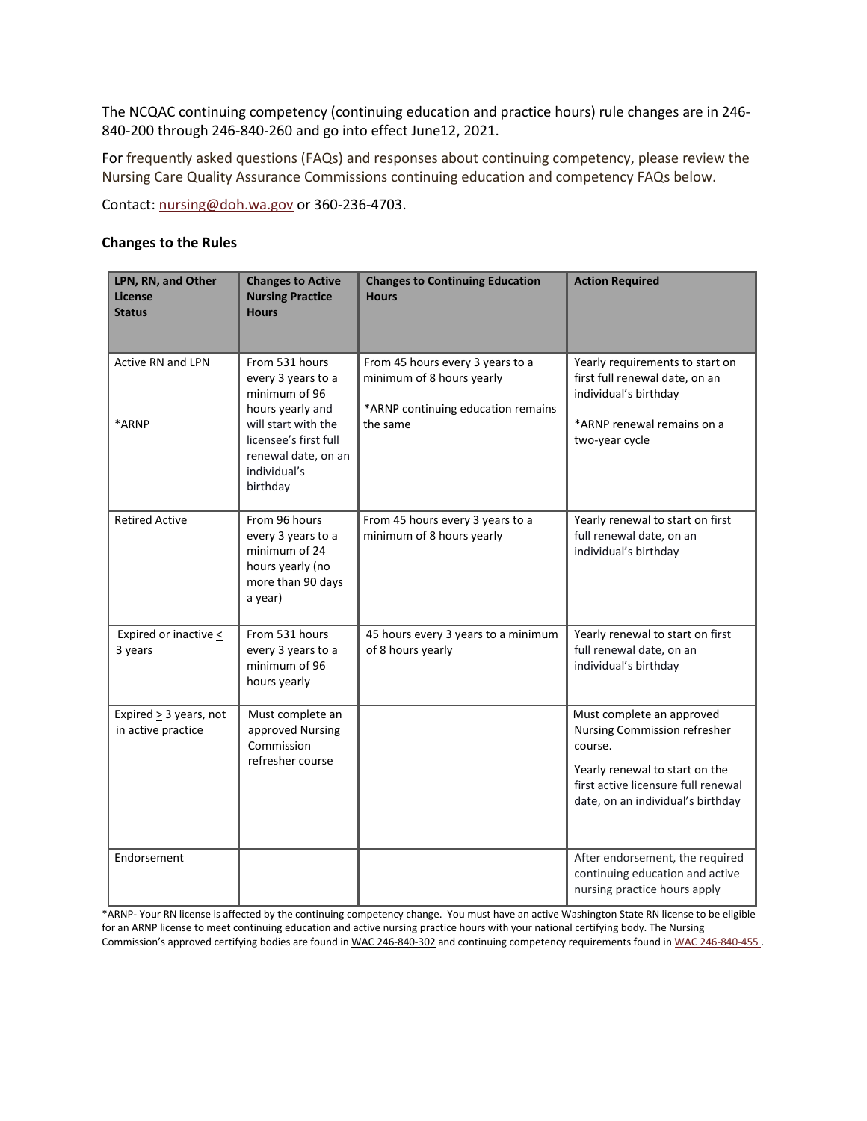The NCQAC continuing competency (continuing education and practice hours) rule changes are in 246- 840-200 through 246-840-260 and go into effect June12, 2021.

For frequently asked questions (FAQs) and responses about continuing competency, please review the Nursing Care Quality Assurance Commissions continuing education and competency FAQs below.

Contact: [nursing@doh.wa.gov](mailto:nursing@doh.wa.gov) or 360-236-4703.

### **Changes to the Rules**

| LPN, RN, and Other<br>License<br><b>Status</b>    | <b>Changes to Active</b><br><b>Nursing Practice</b><br><b>Hours</b>                                                                                                          | <b>Changes to Continuing Education</b><br><b>Hours</b>                                                          | <b>Action Required</b>                                                                                                                                                             |
|---------------------------------------------------|------------------------------------------------------------------------------------------------------------------------------------------------------------------------------|-----------------------------------------------------------------------------------------------------------------|------------------------------------------------------------------------------------------------------------------------------------------------------------------------------------|
| <b>Active RN and LPN</b><br>*ARNP                 | From 531 hours<br>every 3 years to a<br>minimum of 96<br>hours yearly and<br>will start with the<br>licensee's first full<br>renewal date, on an<br>individual's<br>birthday | From 45 hours every 3 years to a<br>minimum of 8 hours yearly<br>*ARNP continuing education remains<br>the same | Yearly requirements to start on<br>first full renewal date, on an<br>individual's birthday<br>*ARNP renewal remains on a<br>two-year cycle                                         |
| <b>Retired Active</b>                             | From 96 hours<br>every 3 years to a<br>minimum of 24<br>hours yearly (no<br>more than 90 days<br>a year)                                                                     | From 45 hours every 3 years to a<br>minimum of 8 hours yearly                                                   | Yearly renewal to start on first<br>full renewal date, on an<br>individual's birthday                                                                                              |
| Expired or inactive $\leq$<br>3 years             | From 531 hours<br>every 3 years to a<br>minimum of 96<br>hours yearly                                                                                                        | 45 hours every 3 years to a minimum<br>of 8 hours yearly                                                        | Yearly renewal to start on first<br>full renewal date, on an<br>individual's birthday                                                                                              |
| Expired $\geq$ 3 years, not<br>in active practice | Must complete an<br>approved Nursing<br>Commission<br>refresher course                                                                                                       |                                                                                                                 | Must complete an approved<br>Nursing Commission refresher<br>course.<br>Yearly renewal to start on the<br>first active licensure full renewal<br>date, on an individual's birthday |
| Endorsement                                       |                                                                                                                                                                              |                                                                                                                 | After endorsement, the required<br>continuing education and active<br>nursing practice hours apply                                                                                 |

\*ARNP- Your RN license is affected by the continuing competency change. You must have an active Washington State RN license to be eligible for an ARNP license to meet continuing education and active nursing practice hours with your national certifying body. The Nursing Commission's approved certifying bodies are found in WAC [246-840-302](https://apps.leg.wa.gov/WAC/default.aspx?cite=246-840-302) and continuing competency requirements found i[n WAC 246-840-455](https://app.leg.wa.gov/wac/default.aspx?cite=246-840-342).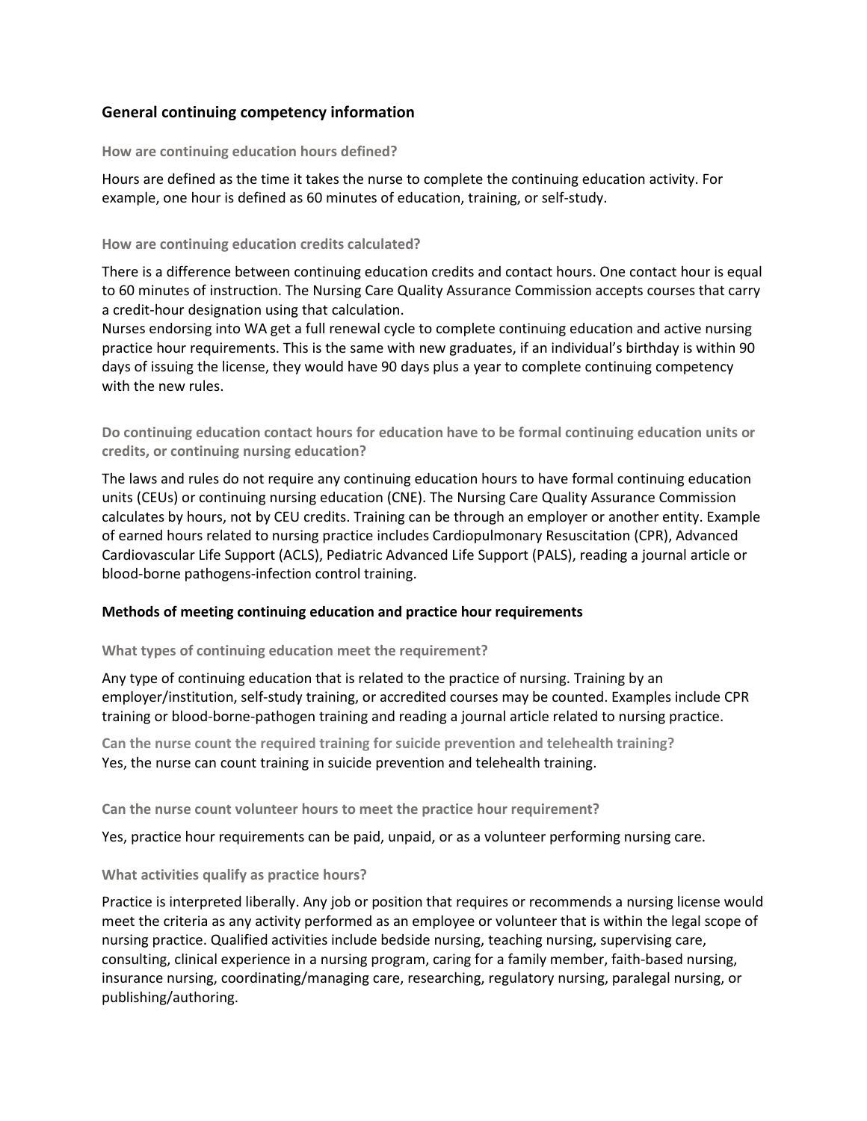# **General continuing competency information**

#### **How are continuing education hours defined?**

Hours are defined as the time it takes the nurse to complete the continuing education activity. For example, one hour is defined as 60 minutes of education, training, or self-study.

#### **How are continuing education credits calculated?**

There is a difference between continuing education credits and contact hours. One contact hour is equal to 60 minutes of instruction. The Nursing Care Quality Assurance Commission accepts courses that carry a credit-hour designation using that calculation.

Nurses endorsing into WA get a full renewal cycle to complete continuing education and active nursing practice hour requirements. This is the same with new graduates, if an individual's birthday is within 90 days of issuing the license, they would have 90 days plus a year to complete continuing competency with the new rules.

**Do continuing education contact hours for education have to be formal continuing education units or credits, or continuing nursing education?**

The laws and rules do not require any continuing education hours to have formal continuing education units (CEUs) or continuing nursing education (CNE). The Nursing Care Quality Assurance Commission calculates by hours, not by CEU credits. Training can be through an employer or another entity. Example of earned hours related to nursing practice includes Cardiopulmonary Resuscitation (CPR), Advanced Cardiovascular Life Support (ACLS), Pediatric Advanced Life Support (PALS), reading a journal article or blood-borne pathogens-infection control training.

## **Methods of meeting continuing education and practice hour requirements**

## **What types of continuing education meet the requirement?**

Any type of continuing education that is related to the practice of nursing. Training by an employer/institution, self-study training, or accredited courses may be counted. Examples include CPR training or blood-borne-pathogen training and reading a journal article related to nursing practice.

**Can the nurse count the required training for suicide prevention and telehealth training?** Yes, the nurse can count training in suicide prevention and telehealth training.

**Can the nurse count volunteer hours to meet the practice hour requirement?**

Yes, practice hour requirements can be paid, unpaid, or as a volunteer performing nursing care.

## **What activities qualify as practice hours?**

Practice is interpreted liberally. Any job or position that requires or recommends a nursing license would meet the criteria as any activity performed as an employee or volunteer that is within the legal scope of nursing practice. Qualified activities include bedside nursing, teaching nursing, supervising care, consulting, clinical experience in a nursing program, caring for a family member, faith-based nursing, insurance nursing, coordinating/managing care, researching, regulatory nursing, paralegal nursing, or publishing/authoring.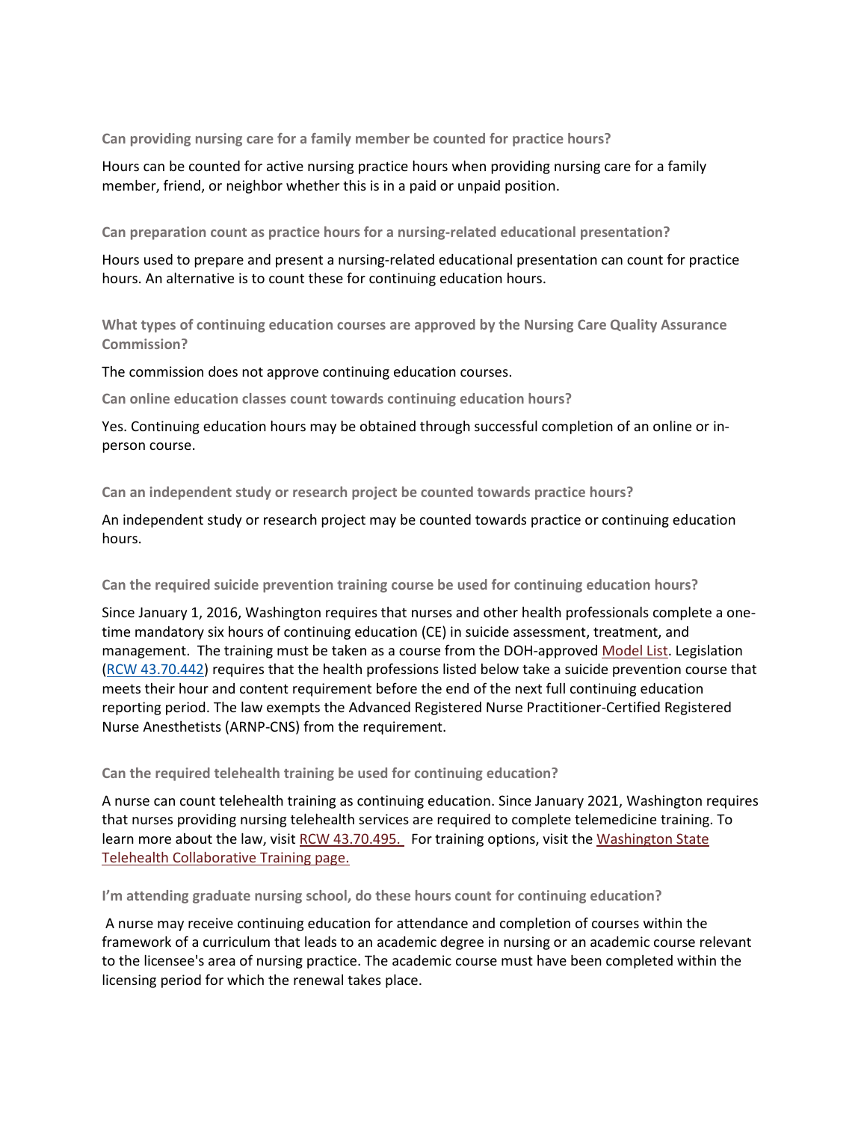**Can providing nursing care for a family member be counted for practice hours?**

Hours can be counted for active nursing practice hours when providing nursing care for a family member, friend, or neighbor whether this is in a paid or unpaid position.

**Can preparation count as practice hours for a nursing-related educational presentation?**

Hours used to prepare and present a nursing-related educational presentation can count for practice hours. An alternative is to count these for continuing education hours.

**What types of continuing education courses are approved by the Nursing Care Quality Assurance Commission?**

The commission does not approve continuing education courses.

**Can online education classes count towards continuing education hours?**

Yes. Continuing education hours may be obtained through successful completion of an online or inperson course.

**Can an independent study or research project be counted towards practice hours?**

An independent study or research project may be counted towards practice or continuing education hours.

## **Can the required suicide prevention training course be used for continuing education hours?**

Since January 1, 2016, Washington requires that nurses and other health professionals complete a onetime mandatory six hours of continuing education (CE) in suicide assessment, treatment, and management. The training must be taken as a course from the DOH-approved [Model List.](about:blank) Legislation (RCW [43.70.442\)](about:blank) requires that the health professions listed below take a suicide prevention course that meets their hour and content requirement before the end of the next full continuing education reporting period. The law exempts the Advanced Registered Nurse Practitioner-Certified Registered Nurse Anesthetists (ARNP-CNS) from the requirement.

## **Can the required telehealth training be used for continuing education?**

A nurse can count telehealth training as continuing education. Since January 2021, Washington requires that nurses providing nursing telehealth services are required to complete telemedicine training. To learn more about the law, visit [RCW 43.70.495.](about:blank) For training options, visit the Washington State [Telehealth Collaborative Training page.](https://gcc02.safelinks.protection.outlook.com/?url=https%3A%2F%2Flnks.gd%2Fl%2FeyJhbGciOiJIUzI1NiJ9.eyJidWxsZXRpbl9saW5rX2lkIjoxMDEsInVyaSI6ImJwMjpjbGljayIsImJ1bGxldGluX2lkIjoiMjAyMDEyMTcuMzIxNDExMjEiLCJ1cmwiOiJodHRwczovL2djYzAyLnNhZmVsaW5rcy5wcm90ZWN0aW9uLm91dGxvb2suY29tLz91cmw9aHR0cHMlM0ElMkYlMkZ3d3cud3NoYS5vcmclMkZwb2xpY3ktYWR2b2NhY3klMkZpc3N1ZXMlMkZ0ZWxlbWVkaWNpbmUlMkZ3YXNoaW5ndG9uLXN0YXRlLXRlbGVtZWRpY2luZS1jb2xsYWJvcmF0aXZlJTJGdGVsZW1lZGljaW5lLXRyYWluaW5nJmRhdGE9MDQlN0MwMSU3Q0FsZWphbmRyby5MZSU0MGRvaC53YS5nb3YlN0MwZDM2MTc0OTMzMGQ0MTI5NmE3NTA4ZDhhMjFmNzlkNSU3QzExZDBlMjE3MjY0ZTQwMGE4YmEwNTdkY2MxMjdkNzJkJTdDMCU3QzAlN0M2Mzc0Mzc2MDM1MTI4ODg4NDIlN0NVbmtub3duJTdDVFdGcGJHWnNiM2Q4ZXlKV0lqb2lNQzR3TGpBd01EQWlMQ0pRSWpvaVYybHVNeklpTENKQlRpSTZJazFoYVd3aUxDSlhWQ0k2TW4wJTNEJTdDMTAwMCZzZGF0YT16VVNZazlPaVdVOGZiZjZPT1E5cnVMcFBDTDNjQUIlMkJweHlEa056YVdVJTJGRSUzRCZyZXNlcnZlZD0wIn0.sRASpk7c3Y3uSp_tdiYaMgscpRbWuO55Zr4eHrc1H5A%2Fs%2F679457645%2Fbr%2F92015143280-l&data=04%7C01%7Cdebbie.carlson%40doh.wa.gov%7C3f86356eb46f44574d9908d8a222c46e%7C11d0e217264e400a8ba057dcc127d72d%7C0%7C0%7C637437618478744223%7CUnknown%7CTWFpbGZsb3d8eyJWIjoiMC4wLjAwMDAiLCJQIjoiV2luMzIiLCJBTiI6Ik1haWwiLCJXVCI6Mn0%3D%7C3000&sdata=zQXWYEpSsJOyze4y3%2BRgbTvkcUff4yR%2BpcjVZE73eTY%3D&reserved=0)

**I'm attending graduate nursing school, do these hours count for continuing education?**

A nurse may receive continuing education for attendance and completion of courses within the framework of a curriculum that leads to an academic degree in nursing or an academic course relevant to the licensee's area of nursing practice. The academic course must have been completed within the licensing period for which the renewal takes place.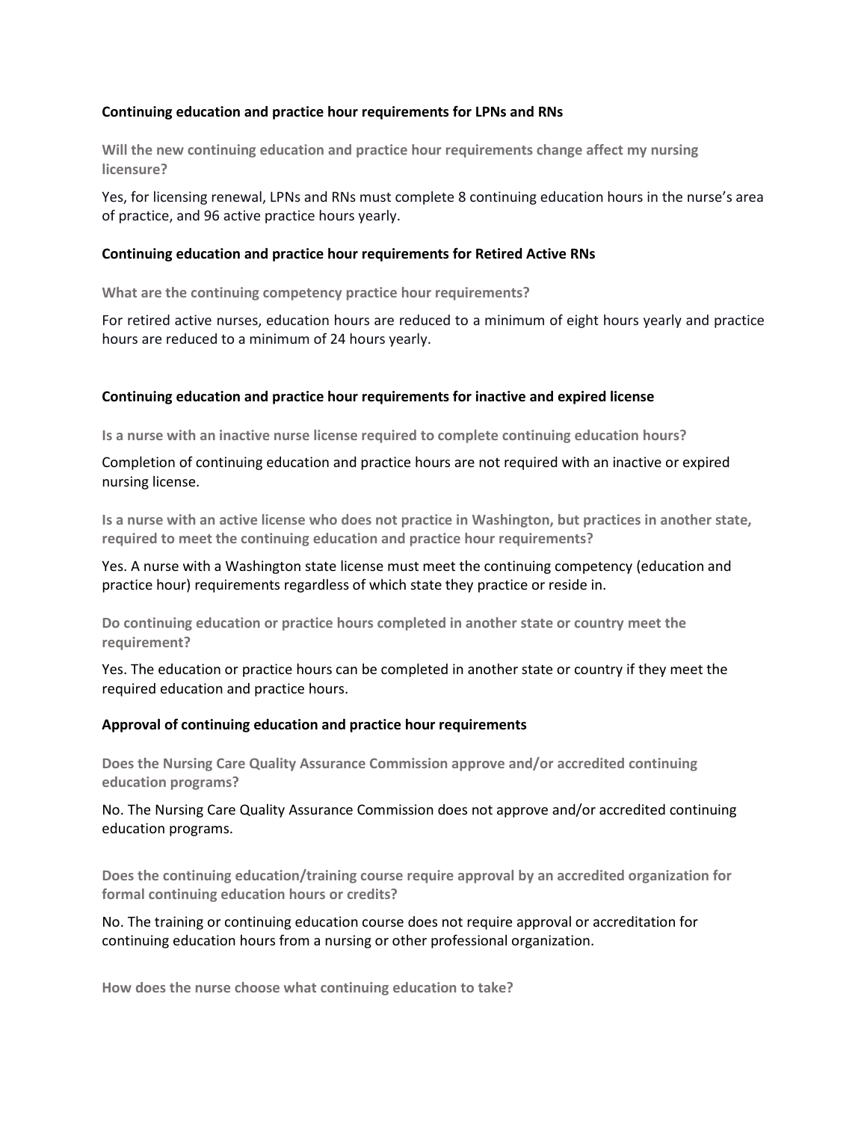### **Continuing education and practice hour requirements for LPNs and RNs**

**Will the new continuing education and practice hour requirements change affect my nursing licensure?**

Yes, for licensing renewal, LPNs and RNs must complete 8 continuing education hours in the nurse's area of practice, and 96 active practice hours yearly.

### **Continuing education and practice hour requirements for Retired Active RNs**

**What are the continuing competency practice hour requirements?**

For retired active nurses, education hours are reduced to a minimum of eight hours yearly and practice hours are reduced to a minimum of 24 hours yearly.

### **Continuing education and practice hour requirements for inactive and expired license**

**Is a nurse with an inactive nurse license required to complete continuing education hours?** 

Completion of continuing education and practice hours are not required with an inactive or expired nursing license.

**Is a nurse with an active license who does not practice in Washington, but practices in another state, required to meet the continuing education and practice hour requirements?** 

Yes. A nurse with a Washington state license must meet the continuing competency (education and practice hour) requirements regardless of which state they practice or reside in.

**Do continuing education or practice hours completed in another state or country meet the requirement?**

Yes. The education or practice hours can be completed in another state or country if they meet the required education and practice hours.

## **Approval of continuing education and practice hour requirements**

**Does the Nursing Care Quality Assurance Commission approve and/or accredited continuing education programs?**

No. The Nursing Care Quality Assurance Commission does not approve and/or accredited continuing education programs.

**Does the continuing education/training course require approval by an accredited organization for formal continuing education hours or credits?** 

No. The training or continuing education course does not require approval or accreditation for continuing education hours from a nursing or other professional organization.

**How does the nurse choose what continuing education to take?**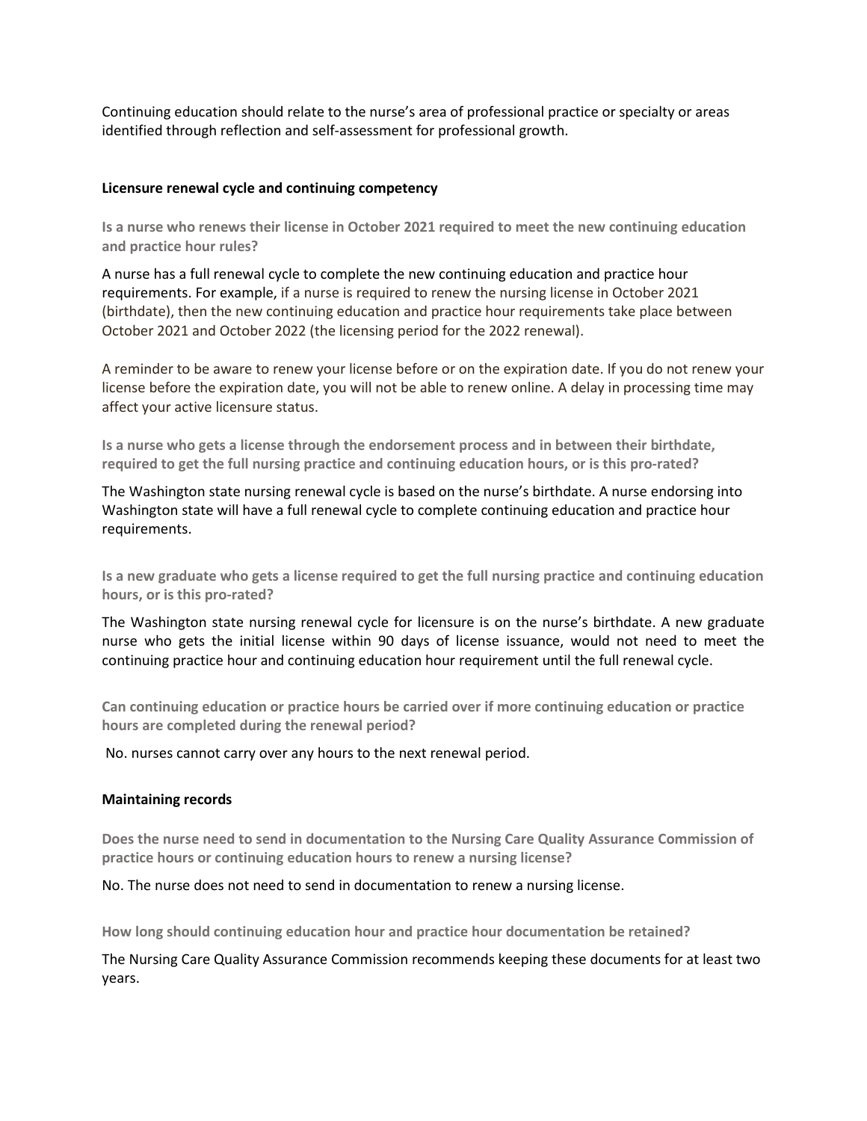Continuing education should relate to the nurse's area of professional practice or specialty or areas identified through reflection and self-assessment for professional growth.

#### **Licensure renewal cycle and continuing competency**

**Is a nurse who renews their license in October 2021 required to meet the new continuing education and practice hour rules?**

A nurse has a full renewal cycle to complete the new continuing education and practice hour requirements. For example, if a nurse is required to renew the nursing license in October 2021 (birthdate), then the new continuing education and practice hour requirements take place between October 2021 and October 2022 (the licensing period for the 2022 renewal).

A reminder to be aware to renew your license before or on the expiration date. If you do not renew your license before the expiration date, you will not be able to renew online. A delay in processing time may affect your active licensure status.

**Is a nurse who gets a license through the endorsement process and in between their birthdate, required to get the full nursing practice and continuing education hours, or is this pro-rated?** 

The Washington state nursing renewal cycle is based on the nurse's birthdate. A nurse endorsing into Washington state will have a full renewal cycle to complete continuing education and practice hour requirements.

**Is a new graduate who gets a license required to get the full nursing practice and continuing education hours, or is this pro-rated?**

The Washington state nursing renewal cycle for licensure is on the nurse's birthdate. A new graduate nurse who gets the initial license within 90 days of license issuance, would not need to meet the continuing practice hour and continuing education hour requirement until the full renewal cycle.

**Can continuing education or practice hours be carried over if more continuing education or practice hours are completed during the renewal period?**

No. nurses cannot carry over any hours to the next renewal period.

## **Maintaining records**

**Does the nurse need to send in documentation to the Nursing Care Quality Assurance Commission of practice hours or continuing education hours to renew a nursing license?**

No. The nurse does not need to send in documentation to renew a nursing license.

**How long should continuing education hour and practice hour documentation be retained?**

The Nursing Care Quality Assurance Commission recommends keeping these documents for at least two years.